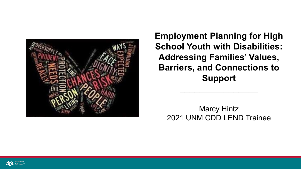

**Employment Planning for High School Youth with Disabilities: Addressing Families' Values, Barriers, and Connections to Support**

Marcy Hintz 2021 UNM CDD LEND Trainee

 $\overline{\phantom{a}}$  , where  $\overline{\phantom{a}}$  , where  $\overline{\phantom{a}}$  , where  $\overline{\phantom{a}}$ 

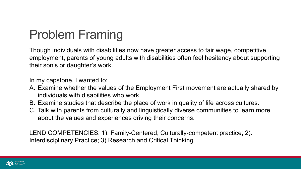# Problem Framing

Though individuals with disabilities now have greater access to fair wage, competitive employment, parents of young adults with disabilities often feel hesitancy about supporting their son's or daughter's work.

In my capstone, I wanted to:

- A. Examine whether the values of the Employment First movement are actually shared by individuals with disabilities who work.
- B. Examine studies that describe the place of work in quality of life across cultures.
- C. Talk with parents from culturally and linguistically diverse communities to learn more about the values and experiences driving their concerns.

LEND COMPETENCIES: 1). Family-Centered, Culturally-competent practice; 2). Interdisciplinary Practice; 3) Research and Critical Thinking

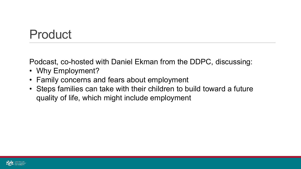# **Product**

Podcast, co-hosted with Daniel Ekman from the DDPC, discussing:

- Why Employment?
- Family concerns and fears about employment
- Steps families can take with their children to build toward a future quality of life, which might include employment

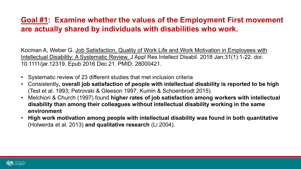#### **Goal #1: Examine whether the values of the Employment First movement are actually shared by individuals with disabilities who work.**

Kocman A, Weber G. Job Satisfaction, Quality of Work Life and Work Motivation in Employees with Intellectual Disability: A Systematic Review. J Appl Res Intellect Disabil. 2018 Jan;31(1):1-22. doi: 10.1111/jar.12319. Epub 2016 Dec 21. PMID: 28000421.

- Systematic review of 23 different studies that met inclusion criteria
- Consistently**, overall job satisfaction of people with intellectual disability is reported to be high**  (Test et al. 1993; Petrovski & Gleeson 1997; Kumin & Schoenbrodt 2015).
- Melchiori & Church (1997) found **higher rates of job satisfaction among workers with intellectual disability than among their colleagues without intellectual disability working in the same environment**
- **High work motivation among people with intellectual disability was found in both quantitative** (Holwerda et al. 2013) **and qualitative research** (Li 2004).

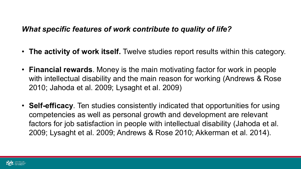#### *What specific features of work contribute to quality of life?*

- **The activity of work itself.** Twelve studies report results within this category.
- **Financial rewards**. Money is the main motivating factor for work in people with intellectual disability and the main reason for working (Andrews & Rose 2010; Jahoda et al. 2009; Lysaght et al. 2009)
- **Self-efficacy**. Ten studies consistently indicated that opportunities for using competencies as well as personal growth and development are relevant factors for job satisfaction in people with intellectual disability (Jahoda et al. 2009; Lysaght et al. 2009; Andrews & Rose 2010; Akkerman et al. 2014).

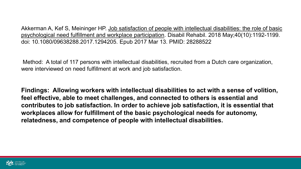Akkerman A, Kef S, Meininger HP. Job satisfaction of people with intellectual disabilities: the role of basic psychological need fulfillment and workplace participation. Disabil Rehabil. 2018 May;40(10):1192-1199. doi: 10.1080/09638288.2017.1294205. Epub 2017 Mar 13. PMID: 28288522

Method: A total of 117 persons with intellectual disabilities, recruited from a Dutch care organization, were interviewed on need fulfillment at work and job satisfaction.

**Findings: Allowing workers with intellectual disabilities to act with a sense of volition, feel effective, able to meet challenges, and connected to others is essential and contributes to job satisfaction. In order to achieve job satisfaction, it is essential that workplaces allow for fulfillment of the basic psychological needs for autonomy, relatedness, and competence of people with intellectual disabilities.**

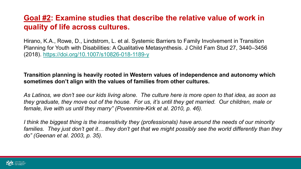#### **Goal #2: Examine studies that describe the relative value of work in quality of life across cultures.**

Hirano, K.A., Rowe, D., Lindstrom, L. et al. Systemic Barriers to Family Involvement in Transition Planning for Youth with Disabilities: A Qualitative Metasynthesis. J Child Fam Stud 27, 3440–3456 (2018). <https://doi.org/10.1007/s10826-018-1189-y>

**Transition planning is heavily rooted in Western values of independence and autonomy which sometimes don't align with the values of families from other cultures.** 

*As Latinos, we don't see our kids living alone. The culture here is more open to that idea, as soon as they graduate, they move out of the house. For us, it's until they get married. Our children, male or female, live with us until they marry" (Povenmire-Kirk et al. 2010, p. 46).*

*I think the biggest thing is the insensitivity they (professionals) have around the needs of our minority families. They just don't get it… they don't get that we might possibly see the world differently than they do" (Geenan et al. 2003, p. 35).*

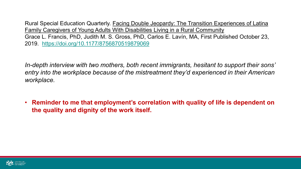Rural Special Education Quarterly. Facing Double Jeopardy: The Transition Experiences of Latina Family Caregivers of Young Adults With Disabilities Living in a Rural Community Grace L. Francis, PhD, Judith M. S. Gross, PhD, Carlos E. Lavín, MA, First Published October 23, 2019. <https://doi.org/10.1177/8756870519879069>

*In-depth interview with two mothers, both recent immigrants, hesitant to support their sons' entry into the workplace because of the mistreatment they'd experienced in their American workplace.*

• **Reminder to me that employment's correlation with quality of life is dependent on the quality and dignity of the work itself.**

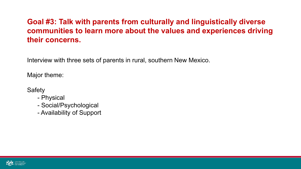### **Goal #3: Talk with parents from culturally and linguistically diverse communities to learn more about the values and experiences driving their concerns.**

Interview with three sets of parents in rural, southern New Mexico.

Major theme:

- **Safety** 
	- Physical
	- Social/Psychological
	- Availability of Support

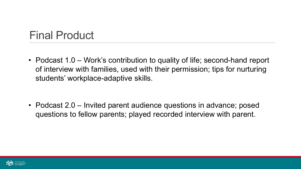### Final Product

• Podcast 1.0 – Work's contribution to quality of life; second-hand report of interview with families, used with their permission; tips for nurturing students' workplace-adaptive skills.

• Podcast 2.0 – Invited parent audience questions in advance; posed questions to fellow parents; played recorded interview with parent.

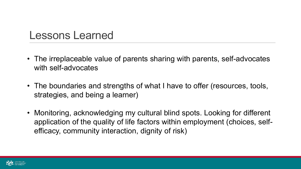### Lessons Learned

- The irreplaceable value of parents sharing with parents, self-advocates with self-advocates
- The boundaries and strengths of what I have to offer (resources, tools, strategies, and being a learner)
- Monitoring, acknowledging my cultural blind spots. Looking for different application of the quality of life factors within employment (choices, selfefficacy, community interaction, dignity of risk)

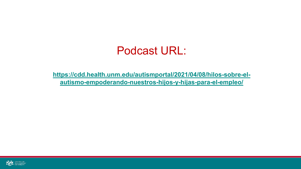### Podcast URL:

**[https://cdd.health.unm.edu/autismportal/2021/04/08/hilos-sobre-el](https://cdd.health.unm.edu/autismportal/2021/04/08/hilos-sobre-el-autismo-empoderando-nuestros-hijos-y-hijas-para-el-empleo/)autismo-empoderando-nuestros-hijos-y-hijas-para-el-empleo/**

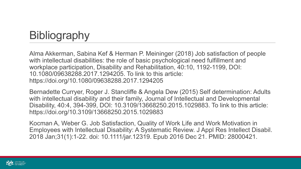# **Bibliography**

Alma Akkerman, Sabina Kef & Herman P. Meininger (2018) Job satisfaction of people with intellectual disabilities: the role of basic psychological need fulfillment and workplace participation, Disability and Rehabilitation, 40:10, 1192-1199, DOI: 10.1080/09638288.2017.1294205. To link to this article: https://doi.org/10.1080/09638288.2017.1294205

Bernadette Curryer, Roger J. Stancliffe & Angela Dew (2015) Self determination: Adults with intellectual disability and their family, Journal of Intellectual and Developmental Disability, 40:4, 394-399, DOI: 10.3109/13668250.2015.1029883. To link to this article: https://doi.org/10.3109/13668250.2015.1029883

Kocman A, Weber G. Job Satisfaction, Quality of Work Life and Work Motivation in Employees with Intellectual Disability: A Systematic Review. J Appl Res Intellect Disabil. 2018 Jan;31(1):1-22. doi: 10.1111/jar.12319. Epub 2016 Dec 21. PMID: 28000421.